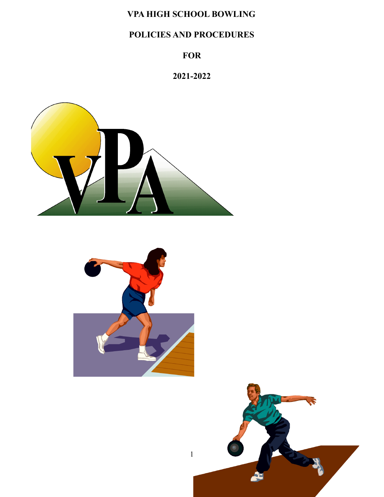# **VPA HIGH SCHOOL BOWLING**

# **POLICIES AND PROCEDURES**

# **FOR**

# **2021-2022**





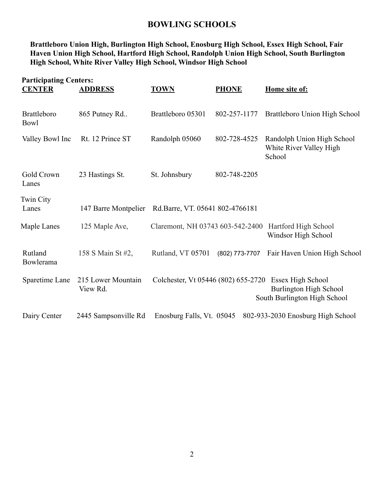## **BOWLING SCHOOLS**

**Brattleboro Union High, Burlington High School, Enosburg High School, Essex High School, Fair Haven Union High School, Hartford High School, Randolph Union High School, South Burlington High School, White River Valley High School, Windsor High School**

| <b>Participating Centers:</b><br><b>CENTER</b> | <b>ADDRESS</b>                 | <b>TOWN</b>                         | <b>PHONE</b>   | Home site of:                                                                      |
|------------------------------------------------|--------------------------------|-------------------------------------|----------------|------------------------------------------------------------------------------------|
| <b>Brattleboro</b><br>Bowl                     | 865 Putney Rd                  | Brattleboro 05301                   | 802-257-1177   | Brattleboro Union High School                                                      |
| Valley Bowl Inc                                | Rt. 12 Prince ST               | Randolph 05060                      | 802-728-4525   | Randolph Union High School<br>White River Valley High<br>School                    |
| Gold Crown<br>Lanes                            | 23 Hastings St.                | St. Johnsbury                       | 802-748-2205   |                                                                                    |
| <b>Twin City</b><br>Lanes                      | 147 Barre Montpelier           | Rd.Barre, VT. 05641 802-4766181     |                |                                                                                    |
| Maple Lanes                                    | 125 Maple Ave,                 | Claremont, NH 03743 603-542-2400    |                | Hartford High School<br>Windsor High School                                        |
| Rutland<br>Bowlerama                           | 158 S Main St #2,              | Rutland, VT 05701                   | (802) 773-7707 | Fair Haven Union High School                                                       |
| Sparetime Lane                                 | 215 Lower Mountain<br>View Rd. | Colchester, Vt 05446 (802) 655-2720 |                | Essex High School<br><b>Burlington High School</b><br>South Burlington High School |
| Dairy Center                                   | 2445 Sampsonville Rd           | Enosburg Falls, Vt. 05045           |                | 802-933-2030 Enosburg High School                                                  |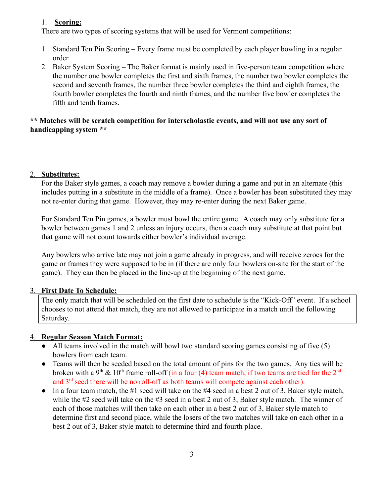### 1. **Scoring:**

There are two types of scoring systems that will be used for Vermont competitions:

- 1. Standard Ten Pin Scoring Every frame must be completed by each player bowling in a regular order.
- 2. Baker System Scoring The Baker format is mainly used in five-person team competition where the number one bowler completes the first and sixth frames, the number two bowler completes the second and seventh frames, the number three bowler completes the third and eighth frames, the fourth bowler completes the fourth and ninth frames, and the number five bowler completes the fifth and tenth frames.

#### **\*\* Matches will be scratch competition for interscholastic events, and will not use any sort of handicapping system \*\***

#### 2. **Substitutes:**

For the Baker style games, a coach may remove a bowler during a game and put in an alternate (this includes putting in a substitute in the middle of a frame). Once a bowler has been substituted they may not re-enter during that game. However, they may re-enter during the next Baker game.

For Standard Ten Pin games, a bowler must bowl the entire game. A coach may only substitute for a bowler between games 1 and 2 unless an injury occurs, then a coach may substitute at that point but that game will not count towards either bowler's individual average.

Any bowlers who arrive late may not join a game already in progress, and will receive zeroes for the game or frames they were supposed to be in (if there are only four bowlers on-site for the start of the game). They can then be placed in the line-up at the beginning of the next game.

## 3. **First Date To Schedule:**

The only match that will be scheduled on the first date to schedule is the "Kick-Off" event. If a school chooses to not attend that match, they are not allowed to participate in a match until the following Saturday.

## 4. **Regular Season Match Format:**

- $\bullet$  All teams involved in the match will bowl two standard scoring games consisting of five (5) bowlers from each team.
- Teams will then be seeded based on the total amount of pins for the two games. Any ties will be broken with a 9<sup>th</sup> & 10<sup>th</sup> frame roll-off (in a four (4) team match, if two teams are tied for the 2<sup>nd</sup> and  $3<sup>rd</sup>$  seed there will be no roll-off as both teams will compete against each other).
- $\bullet$  In a four team match, the #1 seed will take on the #4 seed in a best 2 out of 3, Baker style match, while the #2 seed will take on the #3 seed in a best 2 out of 3, Baker style match. The winner of each of those matches will then take on each other in a best 2 out of 3, Baker style match to determine first and second place, while the losers of the two matches will take on each other in a best 2 out of 3, Baker style match to determine third and fourth place.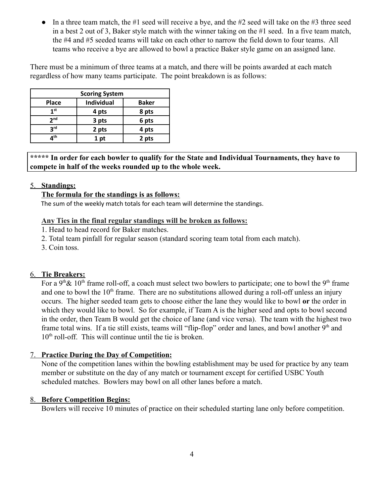• In a three team match, the #1 seed will receive a bye, and the #2 seed will take on the #3 three seed in a best 2 out of 3, Baker style match with the winner taking on the #1 seed. In a five team match, the #4 and #5 seeded teams will take on each other to narrow the field down to four teams. All teams who receive a bye are allowed to bowl a practice Baker style game on an assigned lane.

There must be a minimum of three teams at a match, and there will be points awarded at each match regardless of how many teams participate. The point breakdown is as follows:

| <b>Scoring System</b> |                   |              |  |  |  |  |  |
|-----------------------|-------------------|--------------|--|--|--|--|--|
| <b>Place</b>          | <b>Individual</b> | <b>Baker</b> |  |  |  |  |  |
| 1 <sup>st</sup>       | 4 pts             | 8 pts        |  |  |  |  |  |
| 2 <sub>nd</sub>       | 3 pts             | 6 pts        |  |  |  |  |  |
| <b>3rd</b>            | 2 pts             | 4 pts        |  |  |  |  |  |
| лth                   | 1 pt              | 2 pts        |  |  |  |  |  |

**\*\*\*\*\* In order for each bowler to qualify for the State and Individual Tournaments, they have to compete in half of the weeks rounded up to the whole week.**

#### 5. **Standings:**

#### **The formula for the standings is as follows:**

The sum of the weekly match totals for each team will determine the standings.

#### **Any Ties in the final regular standings will be broken as follows:**

- 1. Head to head record for Baker matches.
- 2. Total team pinfall for regular season (standard scoring team total from each match).
- 3. Coin toss.

#### 6. **Tie Breakers:**

For a 9<sup>th</sup> & 10<sup>th</sup> frame roll-off, a coach must select two bowlers to participate; one to bowl the 9<sup>th</sup> frame and one to bowl the  $10<sup>th</sup>$  frame. There are no substitutions allowed during a roll-off unless an injury occurs. The higher seeded team gets to choose either the lane they would like to bowl **or** the order in which they would like to bowl. So for example, if Team A is the higher seed and opts to bowl second in the order, then Team B would get the choice of lane (and vice versa). The team with the highest two frame total wins. If a tie still exists, teams will "flip-flop" order and lanes, and bowl another 9<sup>th</sup> and 10<sup>th</sup> roll-off. This will continue until the tie is broken.

#### 7. **Practice During the Day of Competition:**

None of the competition lanes within the bowling establishment may be used for practice by any team member or substitute on the day of any match or tournament except for certified USBC Youth scheduled matches. Bowlers may bowl on all other lanes before a match.

#### 8. **Before Competition Begins:**

Bowlers will receive 10 minutes of practice on their scheduled starting lane only before competition.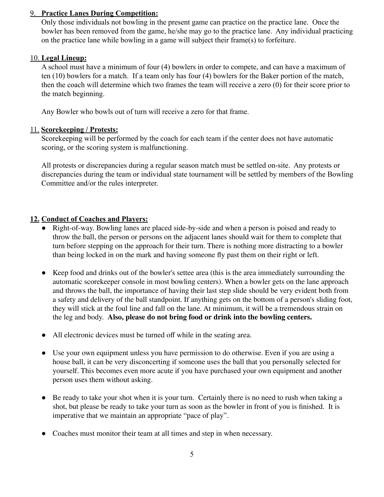#### 9. **Practice Lanes During Competition:**

Only those individuals not bowling in the present game can practice on the practice lane. Once the bowler has been removed from the game, he/she may go to the practice lane. Any individual practicing on the practice lane while bowling in a game will subject their frame(s) to forfeiture.

#### 10. **Legal Lineup:**

A school must have a minimum of four (4) bowlers in order to compete, and can have a maximum of ten (10) bowlers for a match. If a team only has four (4) bowlers for the Baker portion of the match, then the coach will determine which two frames the team will receive a zero (0) for their score prior to the match beginning.

Any Bowler who bowls out of turn will receive a zero for that frame.

#### 11. **Scorekeeping / Protests:**

Scorekeeping will be performed by the coach for each team if the center does not have automatic scoring, or the scoring system is malfunctioning.

All protests or discrepancies during a regular season match must be settled on-site. Any protests or discrepancies during the team or individual state tournament will be settled by members of the Bowling Committee and/or the rules interpreter.

#### **12. Conduct of Coaches and Players:**

- Right-of-way. Bowling lanes are placed side-by-side and when a person is poised and ready to throw the ball, the person or persons on the adjacent lanes should wait for them to complete that turn before stepping on the approach for their turn. There is nothing more distracting to a bowler than being locked in on the mark and having someone fly past them on their right or left.
- Keep food and drinks out of the bowler's settee area (this is the area immediately surrounding the automatic scorekeeper console in most bowling centers). When a bowler gets on the lane approach and throws the ball, the importance of having their last step slide should be very evident both from a safety and delivery of the ball standpoint. If anything gets on the bottom of a person's sliding foot, they will stick at the foul line and fall on the lane. At minimum, it will be a tremendous strain on the leg and body. **Also, please do not bring food or drink into the bowling centers.**
- All electronic devices must be turned off while in the seating area.
- Use your own equipment unless you have permission to do otherwise. Even if you are using a house ball, it can be very disconcerting if someone uses the ball that you personally selected for yourself. This becomes even more acute if you have purchased your own equipment and another person uses them without asking.
- Be ready to take your shot when it is your turn. Certainly there is no need to rush when taking a shot, but please be ready to take your turn as soon as the bowler in front of you is finished. It is imperative that we maintain an appropriate "pace of play".
- Coaches must monitor their team at all times and step in when necessary.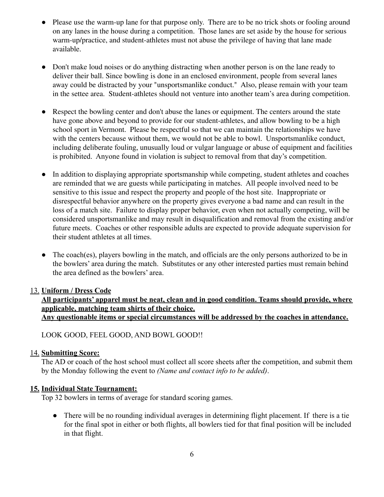- Please use the warm-up lane for that purpose only. There are to be no trick shots or fooling around on any lanes in the house during a competition. Those lanes are set aside by the house for serious warm-up/practice, and student-athletes must not abuse the privilege of having that lane made available.
- Don't make loud noises or do anything distracting when another person is on the lane ready to deliver their ball. Since bowling is done in an enclosed environment, people from several lanes away could be distracted by your "unsportsmanlike conduct." Also, please remain with your team in the settee area. Student-athletes should not venture into another team's area during competition.
- Respect the bowling center and don't abuse the lanes or equipment. The centers around the state have gone above and beyond to provide for our student-athletes, and allow bowling to be a high school sport in Vermont. Please be respectful so that we can maintain the relationships we have with the centers because without them, we would not be able to bowl. Unsportsmanlike conduct, including deliberate fouling, unusually loud or vulgar language or abuse of equipment and facilities is prohibited. Anyone found in violation is subject to removal from that day's competition.
- In addition to displaying appropriate sportsmanship while competing, student athletes and coaches are reminded that we are guests while participating in matches. All people involved need to be sensitive to this issue and respect the property and people of the host site. Inappropriate or disrespectful behavior anywhere on the property gives everyone a bad name and can result in the loss of a match site. Failure to display proper behavior, even when not actually competing, will be considered unsportsmanlike and may result in disqualification and removal from the existing and/or future meets. Coaches or other responsible adults are expected to provide adequate supervision for their student athletes at all times.
- The coach(es), players bowling in the match, and officials are the only persons authorized to be in the bowlers' area during the match. Substitutes or any other interested parties must remain behind the area defined as the bowlers' area.

#### 13. **Uniform / Dress Code**

## **All participants' apparel must be neat, clean and in good condition. Teams should provide, where applicable, matching team shirts of their choice. Any questionable items or special circumstances will be addressed by the coaches in attendance.**

LOOK GOOD, FEEL GOOD, AND BOWL GOOD!!

#### 14. **Submitting Score:**

The AD or coach of the host school must collect all score sheets after the competition, and submit them by the Monday following the event to *(Name and contact info to be added)*.

#### **15. Individual State Tournament:**

Top 32 bowlers in terms of average for standard scoring games.

● There will be no rounding individual averages in determining flight placement. If there is a tie for the final spot in either or both flights, all bowlers tied for that final position will be included in that flight.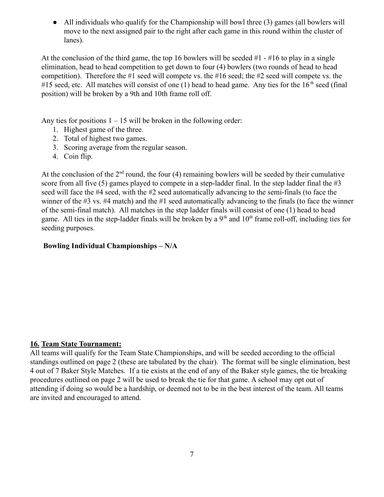• All individuals who qualify for the Championship will bowl three (3) games (all bowlers will move to the next assigned pair to the right after each game in this round within the cluster of lanes).

At the conclusion of the third game, the top 16 bowlers will be seeded  $#1 - #16$  to play in a single elimination, head to head competition to get down to four (4) bowlers (two rounds of head to head competition). Therefore the #1 seed will compete vs. the #16 seed; the #2 seed will compete vs. the #15 seed, etc. All matches will consist of one  $(1)$  head to head game. Any ties for the 16<sup>th</sup> seed (final position) will be broken by a 9th and 10th frame roll off.

Any ties for positions  $1 - 15$  will be broken in the following order:

- 1. Highest game of the three.
- 2. Total of highest two games.
- 3. Scoring average from the regular season.
- 4. Coin flip.

At the conclusion of the  $2<sup>nd</sup>$  round, the four (4) remaining bowlers will be seeded by their cumulative score from all five  $(5)$  games played to compete in a step-ladder final. In the step ladder final the #3 seed will face the #4 seed, with the #2 seed automatically advancing to the semi-finals (to face the winner of the #3 vs. #4 match) and the #1 seed automatically advancing to the finals (to face the winner of the semi-final match). All matches in the step ladder finals will consist of one (1) head to head game. All ties in the step-ladder finals will be broken by a  $9<sup>th</sup>$  and  $10<sup>th</sup>$  frame roll-off, including ties for seeding purposes.

#### **Bowling Individual Championships – N/A**

#### **16. Team State Tournament:**

All teams will qualify for the Team State Championships, and will be seeded according to the official standings outlined on page 2 (these are tabulated by the chair). The format will be single elimination, best 4 out of 7 Baker Style Matches. If a tie exists at the end of any of the Baker style games, the tie breaking procedures outlined on page 2 will be used to break the tie for that game. A school may opt out of attending if doing so would be a hardship, or deemed not to be in the best interest of the team. All teams are invited and encouraged to attend.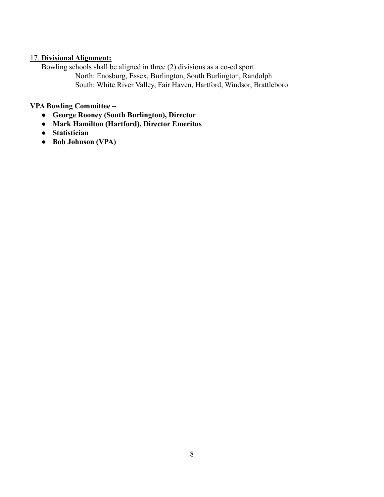#### 17. **Divisional Alignment:**

Bowling schools shall be aligned in three (2) divisions as a co-ed sport. North: Enosburg, Essex, Burlington, South Burlington, Randolph South: White River Valley, Fair Haven, Hartford, Windsor, Brattleboro

## **VPA Bowling Committee –**

- **● George Rooney (South Burlington), Director**
- **● Mark Hamilton (Hartford), Director Emeritus**
- **● Statistician**
- **● Bob Johnson (VPA)**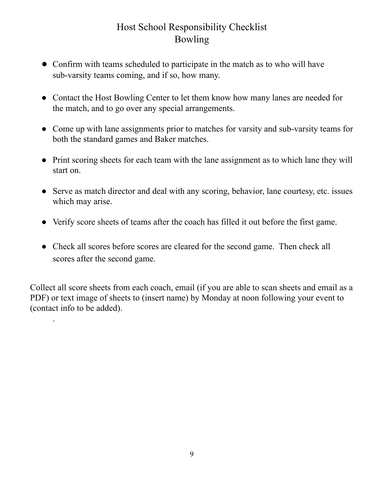# Host School Responsibility Checklist Bowling

- Confirm with teams scheduled to participate in the match as to who will have sub-varsity teams coming, and if so, how many.
- Contact the Host Bowling Center to let them know how many lanes are needed for the match, and to go over any special arrangements.
- Come up with lane assignments prior to matches for varsity and sub-varsity teams for both the standard games and Baker matches.
- Print scoring sheets for each team with the lane assignment as to which lane they will start on.
- Serve as match director and deal with any scoring, behavior, lane courtesy, etc. issues which may arise.
- Verify score sheets of teams after the coach has filled it out before the first game.
- Check all scores before scores are cleared for the second game. Then check all scores after the second game.

Collect all score sheets from each coach, email (if you are able to scan sheets and email as a PDF) or text image of sheets to (insert name) by Monday at noon following your event to (contact info to be added).

.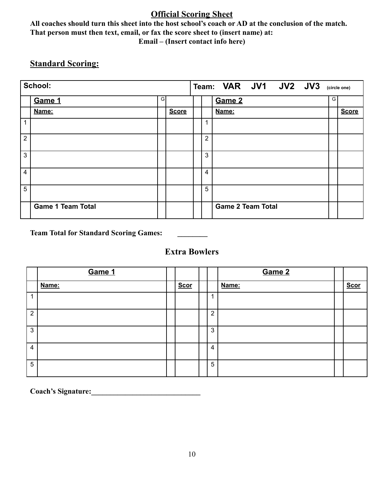## **Official Scoring Sheet**

**All coaches should turn this sheet into the host school's coach or AD at the conclusion of the match. That person must then text, email, or fax the score sheet to (insert name) at: Email – (Insert contact info here)**

# **Standard Scoring:**

|                | School:                  |   |              |                | Team: VAR JV1 JV2 JV3    | (circle one) |
|----------------|--------------------------|---|--------------|----------------|--------------------------|--------------|
|                | Game 1                   | G |              |                | G<br>Game 2              |              |
|                | Name:                    |   | <b>Score</b> |                | Name:                    | <b>Score</b> |
| 1              |                          |   |              | и              |                          |              |
| $\overline{2}$ |                          |   |              | $\overline{2}$ |                          |              |
| 3              |                          |   |              | 3              |                          |              |
| 4              |                          |   |              | 4              |                          |              |
| 5              |                          |   |              | 5              |                          |              |
|                | <b>Game 1 Team Total</b> |   |              |                | <b>Game 2 Team Total</b> |              |

**Team Total for Standard Scoring Games: \_\_\_\_\_\_\_\_**

# **Extra Bowlers**

|                | Game 1 |             |                | Game 2 |             |
|----------------|--------|-------------|----------------|--------|-------------|
|                | Name:  | <b>Scor</b> |                | Name:  | <b>Scor</b> |
|                |        |             | A              |        |             |
| $\overline{2}$ |        |             | $\overline{2}$ |        |             |
| 3              |        |             | 3              |        |             |
| $\overline{4}$ |        |             | 4              |        |             |
| 5              |        |             | 5              |        |             |

Coach's Signature: